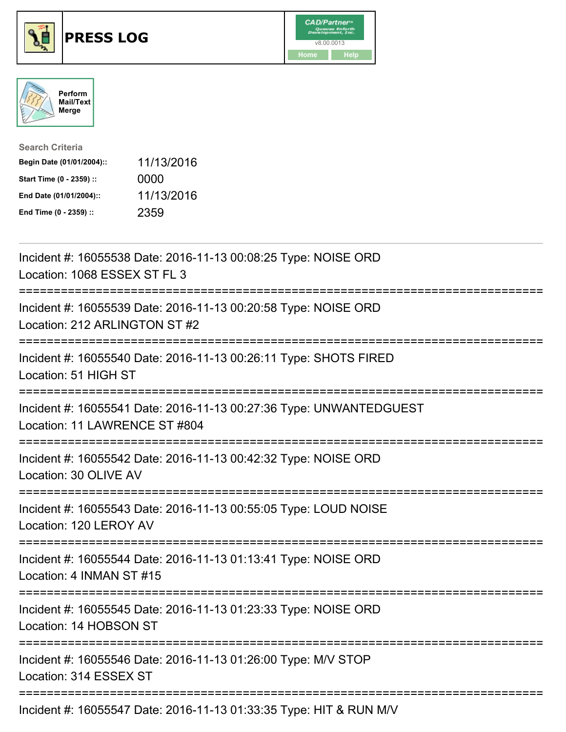

## **PRESS LOG** v8.00.0013





| <b>Search Criteria</b>    |            |
|---------------------------|------------|
| Begin Date (01/01/2004):: | 11/13/2016 |
| Start Time (0 - 2359) ::  | 0000       |
| End Date (01/01/2004)::   | 11/13/2016 |
| End Time (0 - 2359) ::    | 2359       |

Incident #: 16055538 Date: 2016-11-13 00:08:25 Type: NOISE ORD Location: 1068 ESSEX ST FL 3 =========================================================================== Incident #: 16055539 Date: 2016-11-13 00:20:58 Type: NOISE ORD Location: 212 ARLINGTON ST #2 =========================================================================== Incident #: 16055540 Date: 2016-11-13 00:26:11 Type: SHOTS FIRED Location: 51 HIGH ST =========================================================================== Incident #: 16055541 Date: 2016-11-13 00:27:36 Type: UNWANTEDGUEST Location: 11 LAWRENCE ST #804 =========================================================================== Incident #: 16055542 Date: 2016-11-13 00:42:32 Type: NOISE ORD Location: 30 OLIVE AV =========================================================================== Incident #: 16055543 Date: 2016-11-13 00:55:05 Type: LOUD NOISE Location: 120 LEROY AV =========================================================================== Incident #: 16055544 Date: 2016-11-13 01:13:41 Type: NOISE ORD Location: 4 INMAN ST #15 =========================================================================== Incident #: 16055545 Date: 2016-11-13 01:23:33 Type: NOISE ORD Location: 14 HOBSON ST =========================================================================== Incident #: 16055546 Date: 2016-11-13 01:26:00 Type: M/V STOP Location: 314 ESSEX ST =========================================================================== Incident #: 16055547 Date: 2016-11-13 01:33:35 Type: HIT & RUN M/V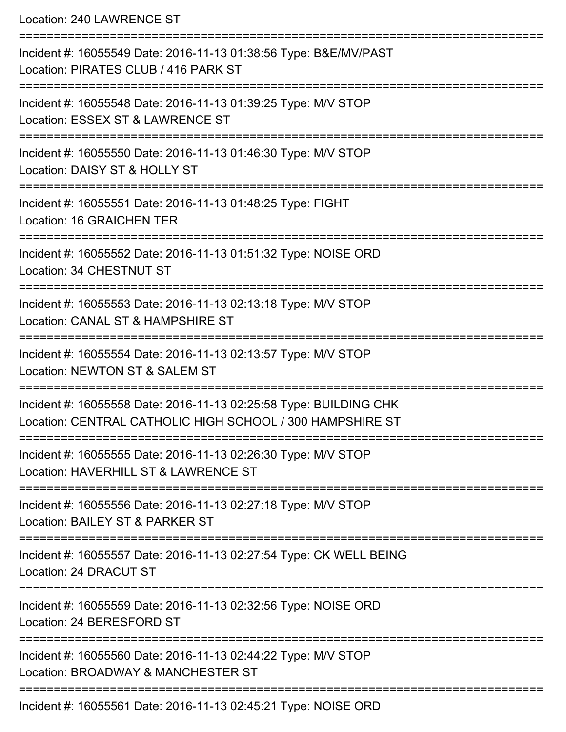Location: 240 LAWRENCE ST

| Incident #: 16055549 Date: 2016-11-13 01:38:56 Type: B&E/MV/PAST<br>Location: PIRATES CLUB / 416 PARK ST                       |
|--------------------------------------------------------------------------------------------------------------------------------|
| Incident #: 16055548 Date: 2016-11-13 01:39:25 Type: M/V STOP<br>Location: ESSEX ST & LAWRENCE ST                              |
| Incident #: 16055550 Date: 2016-11-13 01:46:30 Type: M/V STOP<br>Location: DAISY ST & HOLLY ST                                 |
| Incident #: 16055551 Date: 2016-11-13 01:48:25 Type: FIGHT<br>Location: 16 GRAICHEN TER                                        |
| Incident #: 16055552 Date: 2016-11-13 01:51:32 Type: NOISE ORD<br>Location: 34 CHESTNUT ST                                     |
| Incident #: 16055553 Date: 2016-11-13 02:13:18 Type: M/V STOP<br>Location: CANAL ST & HAMPSHIRE ST                             |
| Incident #: 16055554 Date: 2016-11-13 02:13:57 Type: M/V STOP<br>Location: NEWTON ST & SALEM ST                                |
| Incident #: 16055558 Date: 2016-11-13 02:25:58 Type: BUILDING CHK<br>Location: CENTRAL CATHOLIC HIGH SCHOOL / 300 HAMPSHIRE ST |
| Incident #: 16055555 Date: 2016-11-13 02:26:30 Type: M/V STOP<br>Location: HAVERHILL ST & LAWRENCE ST                          |
| Incident #: 16055556 Date: 2016-11-13 02:27:18 Type: M/V STOP<br>Location: BAILEY ST & PARKER ST                               |
| Incident #: 16055557 Date: 2016-11-13 02:27:54 Type: CK WELL BEING<br>Location: 24 DRACUT ST                                   |
| Incident #: 16055559 Date: 2016-11-13 02:32:56 Type: NOISE ORD<br>Location: 24 BERESFORD ST                                    |
| Incident #: 16055560 Date: 2016-11-13 02:44:22 Type: M/V STOP<br>Location: BROADWAY & MANCHESTER ST                            |
| Incident #: 16055561 Date: 2016-11-13 02:45:21 Type: NOISE ORD                                                                 |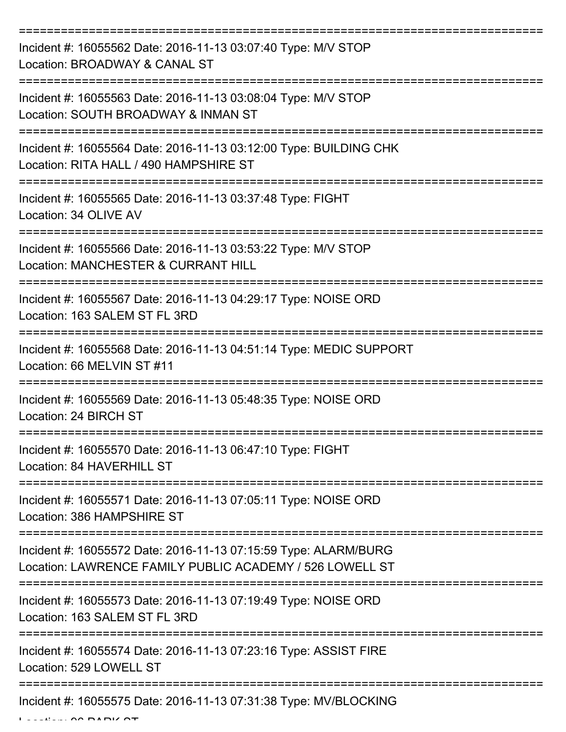| Incident #: 16055562 Date: 2016-11-13 03:07:40 Type: M/V STOP<br>Location: BROADWAY & CANAL ST                              |
|-----------------------------------------------------------------------------------------------------------------------------|
| Incident #: 16055563 Date: 2016-11-13 03:08:04 Type: M/V STOP<br>Location: SOUTH BROADWAY & INMAN ST                        |
| Incident #: 16055564 Date: 2016-11-13 03:12:00 Type: BUILDING CHK<br>Location: RITA HALL / 490 HAMPSHIRE ST                 |
| Incident #: 16055565 Date: 2016-11-13 03:37:48 Type: FIGHT<br>Location: 34 OLIVE AV                                         |
| Incident #: 16055566 Date: 2016-11-13 03:53:22 Type: M/V STOP<br>Location: MANCHESTER & CURRANT HILL                        |
| Incident #: 16055567 Date: 2016-11-13 04:29:17 Type: NOISE ORD<br>Location: 163 SALEM ST FL 3RD                             |
| Incident #: 16055568 Date: 2016-11-13 04:51:14 Type: MEDIC SUPPORT<br>Location: 66 MELVIN ST #11                            |
| Incident #: 16055569 Date: 2016-11-13 05:48:35 Type: NOISE ORD<br>Location: 24 BIRCH ST                                     |
| Incident #: 16055570 Date: 2016-11-13 06:47:10 Type: FIGHT<br>Location: 84 HAVERHILL ST                                     |
| Incident #: 16055571 Date: 2016-11-13 07:05:11 Type: NOISE ORD<br>Location: 386 HAMPSHIRE ST                                |
| Incident #: 16055572 Date: 2016-11-13 07:15:59 Type: ALARM/BURG<br>Location: LAWRENCE FAMILY PUBLIC ACADEMY / 526 LOWELL ST |
| Incident #: 16055573 Date: 2016-11-13 07:19:49 Type: NOISE ORD<br>Location: 163 SALEM ST FL 3RD                             |
| Incident #: 16055574 Date: 2016-11-13 07:23:16 Type: ASSIST FIRE<br>Location: 529 LOWELL ST                                 |
| Incident #: 16055575 Date: 2016-11-13 07:31:38 Type: MV/BLOCKING                                                            |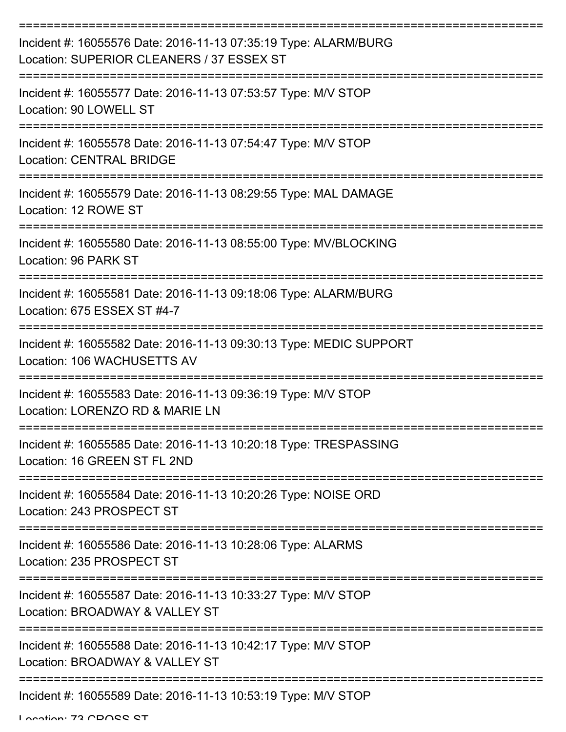| Incident #: 16055576 Date: 2016-11-13 07:35:19 Type: ALARM/BURG<br>Location: SUPERIOR CLEANERS / 37 ESSEX ST |
|--------------------------------------------------------------------------------------------------------------|
| Incident #: 16055577 Date: 2016-11-13 07:53:57 Type: M/V STOP<br>Location: 90 LOWELL ST                      |
| Incident #: 16055578 Date: 2016-11-13 07:54:47 Type: M/V STOP<br><b>Location: CENTRAL BRIDGE</b>             |
| Incident #: 16055579 Date: 2016-11-13 08:29:55 Type: MAL DAMAGE<br>Location: 12 ROWE ST                      |
| Incident #: 16055580 Date: 2016-11-13 08:55:00 Type: MV/BLOCKING<br>Location: 96 PARK ST                     |
| Incident #: 16055581 Date: 2016-11-13 09:18:06 Type: ALARM/BURG<br>Location: 675 ESSEX ST #4-7               |
| Incident #: 16055582 Date: 2016-11-13 09:30:13 Type: MEDIC SUPPORT<br>Location: 106 WACHUSETTS AV            |
| Incident #: 16055583 Date: 2016-11-13 09:36:19 Type: M/V STOP<br>Location: LORENZO RD & MARIE LN             |
| Incident #: 16055585 Date: 2016-11-13 10:20:18 Type: TRESPASSING<br>Location: 16 GREEN ST FL 2ND             |
| Incident #: 16055584 Date: 2016-11-13 10:20:26 Type: NOISE ORD<br>Location: 243 PROSPECT ST                  |
| Incident #: 16055586 Date: 2016-11-13 10:28:06 Type: ALARMS<br>Location: 235 PROSPECT ST                     |
| Incident #: 16055587 Date: 2016-11-13 10:33:27 Type: M/V STOP<br>Location: BROADWAY & VALLEY ST              |
| Incident #: 16055588 Date: 2016-11-13 10:42:17 Type: M/V STOP<br>Location: BROADWAY & VALLEY ST              |
| Incident #: 16055589 Date: 2016-11-13 10:53:19 Type: M/V STOP                                                |

Location: 72 CDOCC CT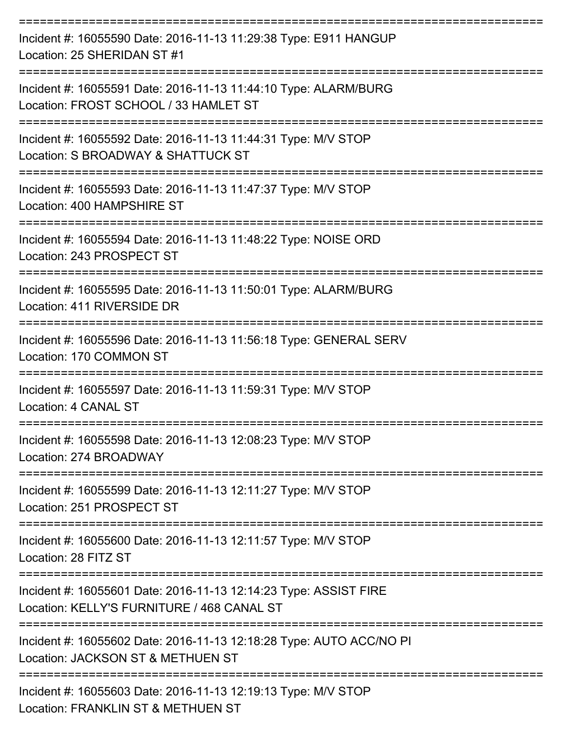| Incident #: 16055590 Date: 2016-11-13 11:29:38 Type: E911 HANGUP<br>Location: 25 SHERIDAN ST #1                |
|----------------------------------------------------------------------------------------------------------------|
| Incident #: 16055591 Date: 2016-11-13 11:44:10 Type: ALARM/BURG<br>Location: FROST SCHOOL / 33 HAMLET ST       |
| Incident #: 16055592 Date: 2016-11-13 11:44:31 Type: M/V STOP<br>Location: S BROADWAY & SHATTUCK ST            |
| Incident #: 16055593 Date: 2016-11-13 11:47:37 Type: M/V STOP<br>Location: 400 HAMPSHIRE ST                    |
| Incident #: 16055594 Date: 2016-11-13 11:48:22 Type: NOISE ORD<br>Location: 243 PROSPECT ST                    |
| Incident #: 16055595 Date: 2016-11-13 11:50:01 Type: ALARM/BURG<br>Location: 411 RIVERSIDE DR                  |
| Incident #: 16055596 Date: 2016-11-13 11:56:18 Type: GENERAL SERV<br>Location: 170 COMMON ST                   |
| Incident #: 16055597 Date: 2016-11-13 11:59:31 Type: M/V STOP<br>Location: 4 CANAL ST                          |
| Incident #: 16055598 Date: 2016-11-13 12:08:23 Type: M/V STOP<br>Location: 274 BROADWAY                        |
| Incident #: 16055599 Date: 2016-11-13 12:11:27 Type: M/V STOP<br>Location: 251 PROSPECT ST                     |
| Incident #: 16055600 Date: 2016-11-13 12:11:57 Type: M/V STOP<br>Location: 28 FITZ ST                          |
| Incident #: 16055601 Date: 2016-11-13 12:14:23 Type: ASSIST FIRE<br>Location: KELLY'S FURNITURE / 468 CANAL ST |
| Incident #: 16055602 Date: 2016-11-13 12:18:28 Type: AUTO ACC/NO PI<br>Location: JACKSON ST & METHUEN ST       |
| Incident #: 16055603 Date: 2016-11-13 12:19:13 Type: M/V STOP<br>Location: FRANKLIN ST & METHUEN ST            |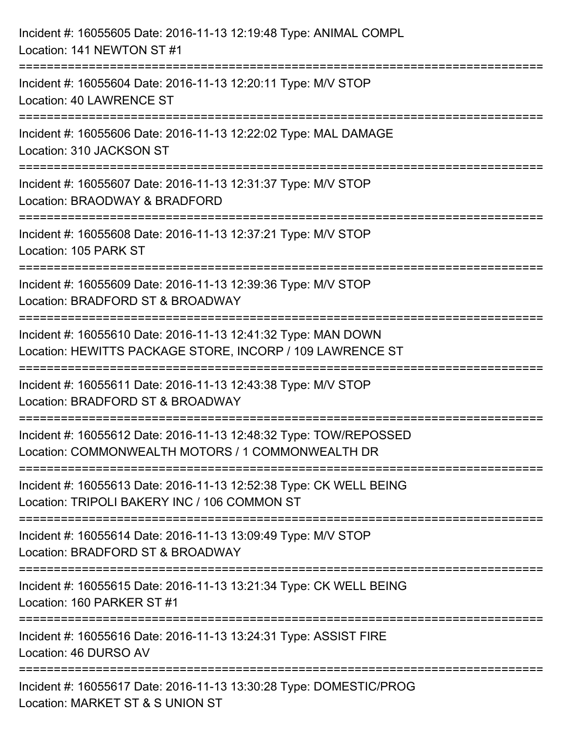| Incident #: 16055605 Date: 2016-11-13 12:19:48 Type: ANIMAL COMPL<br>Location: 141 NEWTON ST #1                                |
|--------------------------------------------------------------------------------------------------------------------------------|
| Incident #: 16055604 Date: 2016-11-13 12:20:11 Type: M/V STOP<br>Location: 40 LAWRENCE ST                                      |
| Incident #: 16055606 Date: 2016-11-13 12:22:02 Type: MAL DAMAGE<br>Location: 310 JACKSON ST                                    |
| ============================<br>Incident #: 16055607 Date: 2016-11-13 12:31:37 Type: M/V STOP<br>Location: BRAODWAY & BRADFORD |
| Incident #: 16055608 Date: 2016-11-13 12:37:21 Type: M/V STOP<br>Location: 105 PARK ST                                         |
| Incident #: 16055609 Date: 2016-11-13 12:39:36 Type: M/V STOP<br>Location: BRADFORD ST & BROADWAY                              |
| Incident #: 16055610 Date: 2016-11-13 12:41:32 Type: MAN DOWN<br>Location: HEWITTS PACKAGE STORE, INCORP / 109 LAWRENCE ST     |
| Incident #: 16055611 Date: 2016-11-13 12:43:38 Type: M/V STOP<br>Location: BRADFORD ST & BROADWAY                              |
| Incident #: 16055612 Date: 2016-11-13 12:48:32 Type: TOW/REPOSSED<br>Location: COMMONWEALTH MOTORS / 1 COMMONWEALTH DR         |
| Incident #: 16055613 Date: 2016-11-13 12:52:38 Type: CK WELL BEING<br>Location: TRIPOLI BAKERY INC / 106 COMMON ST             |
| Incident #: 16055614 Date: 2016-11-13 13:09:49 Type: M/V STOP<br>Location: BRADFORD ST & BROADWAY                              |
| Incident #: 16055615 Date: 2016-11-13 13:21:34 Type: CK WELL BEING<br>Location: 160 PARKER ST #1                               |
| Incident #: 16055616 Date: 2016-11-13 13:24:31 Type: ASSIST FIRE<br>Location: 46 DURSO AV                                      |
| Incident #: 16055617 Date: 2016-11-13 13:30:28 Type: DOMESTIC/PROG<br>Location: MARKET ST & S UNION ST                         |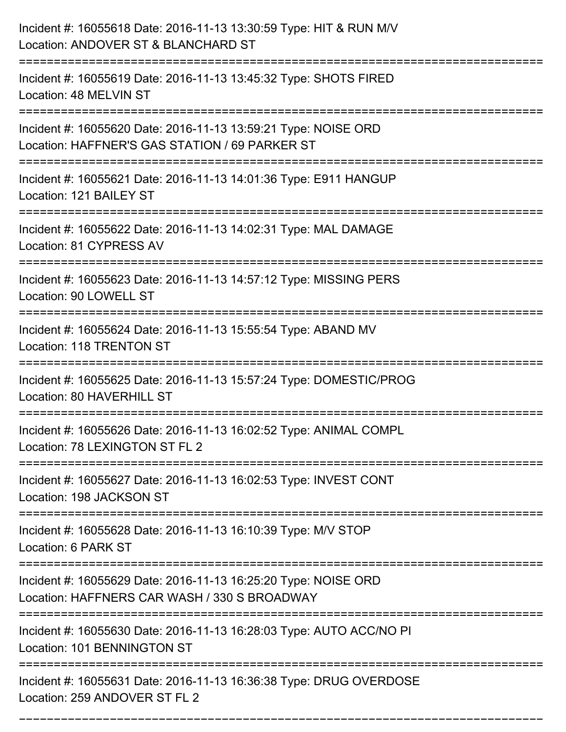| Incident #: 16055618 Date: 2016-11-13 13:30:59 Type: HIT & RUN M/V<br>Location: ANDOVER ST & BLANCHARD ST        |
|------------------------------------------------------------------------------------------------------------------|
| Incident #: 16055619 Date: 2016-11-13 13:45:32 Type: SHOTS FIRED<br>Location: 48 MELVIN ST                       |
| Incident #: 16055620 Date: 2016-11-13 13:59:21 Type: NOISE ORD<br>Location: HAFFNER'S GAS STATION / 69 PARKER ST |
| Incident #: 16055621 Date: 2016-11-13 14:01:36 Type: E911 HANGUP<br>Location: 121 BAILEY ST                      |
| Incident #: 16055622 Date: 2016-11-13 14:02:31 Type: MAL DAMAGE<br>Location: 81 CYPRESS AV                       |
| Incident #: 16055623 Date: 2016-11-13 14:57:12 Type: MISSING PERS<br>Location: 90 LOWELL ST                      |
| Incident #: 16055624 Date: 2016-11-13 15:55:54 Type: ABAND MV<br><b>Location: 118 TRENTON ST</b>                 |
| Incident #: 16055625 Date: 2016-11-13 15:57:24 Type: DOMESTIC/PROG<br>Location: 80 HAVERHILL ST                  |
| Incident #: 16055626 Date: 2016-11-13 16:02:52 Type: ANIMAL COMPL<br>Location: 78 LEXINGTON ST FL 2              |
| Incident #: 16055627 Date: 2016-11-13 16:02:53 Type: INVEST CONT<br>Location: 198 JACKSON ST                     |
| Incident #: 16055628 Date: 2016-11-13 16:10:39 Type: M/V STOP<br>Location: 6 PARK ST                             |
| Incident #: 16055629 Date: 2016-11-13 16:25:20 Type: NOISE ORD<br>Location: HAFFNERS CAR WASH / 330 S BROADWAY   |
| Incident #: 16055630 Date: 2016-11-13 16:28:03 Type: AUTO ACC/NO PI<br>Location: 101 BENNINGTON ST               |
| Incident #: 16055631 Date: 2016-11-13 16:36:38 Type: DRUG OVERDOSE<br>Location: 259 ANDOVER ST FL 2              |

===========================================================================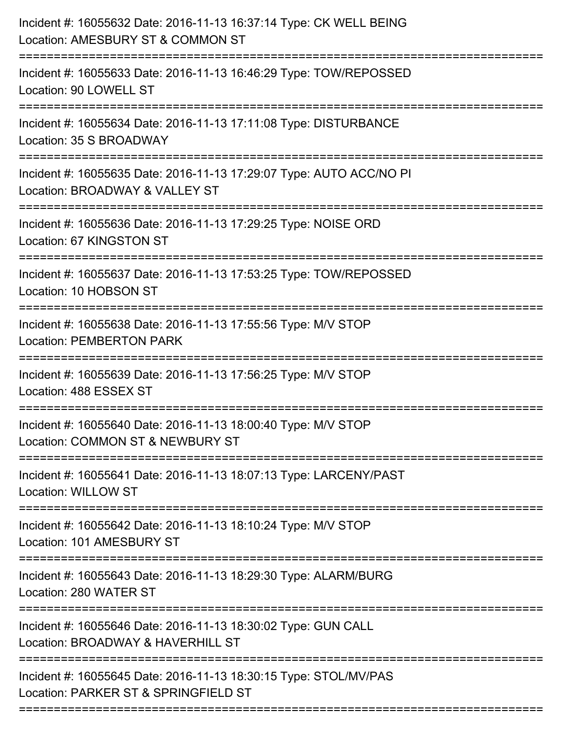| Incident #: 16055632 Date: 2016-11-13 16:37:14 Type: CK WELL BEING<br>Location: AMESBURY ST & COMMON ST                          |
|----------------------------------------------------------------------------------------------------------------------------------|
| Incident #: 16055633 Date: 2016-11-13 16:46:29 Type: TOW/REPOSSED<br>Location: 90 LOWELL ST                                      |
| Incident #: 16055634 Date: 2016-11-13 17:11:08 Type: DISTURBANCE<br>Location: 35 S BROADWAY                                      |
| Incident #: 16055635 Date: 2016-11-13 17:29:07 Type: AUTO ACC/NO PI<br>Location: BROADWAY & VALLEY ST                            |
| Incident #: 16055636 Date: 2016-11-13 17:29:25 Type: NOISE ORD<br>Location: 67 KINGSTON ST                                       |
| Incident #: 16055637 Date: 2016-11-13 17:53:25 Type: TOW/REPOSSED<br>Location: 10 HOBSON ST                                      |
| Incident #: 16055638 Date: 2016-11-13 17:55:56 Type: M/V STOP<br><b>Location: PEMBERTON PARK</b>                                 |
| Incident #: 16055639 Date: 2016-11-13 17:56:25 Type: M/V STOP<br>Location: 488 ESSEX ST                                          |
| Incident #: 16055640 Date: 2016-11-13 18:00:40 Type: M/V STOP<br>Location: COMMON ST & NEWBURY ST                                |
| Incident #: 16055641 Date: 2016-11-13 18:07:13 Type: LARCENY/PAST<br><b>Location: WILLOW ST</b>                                  |
| Incident #: 16055642 Date: 2016-11-13 18:10:24 Type: M/V STOP<br>Location: 101 AMESBURY ST                                       |
| Incident #: 16055643 Date: 2016-11-13 18:29:30 Type: ALARM/BURG<br>Location: 280 WATER ST                                        |
| ==========================<br>Incident #: 16055646 Date: 2016-11-13 18:30:02 Type: GUN CALL<br>Location: BROADWAY & HAVERHILL ST |
| Incident #: 16055645 Date: 2016-11-13 18:30:15 Type: STOL/MV/PAS<br>Location: PARKER ST & SPRINGFIELD ST                         |
|                                                                                                                                  |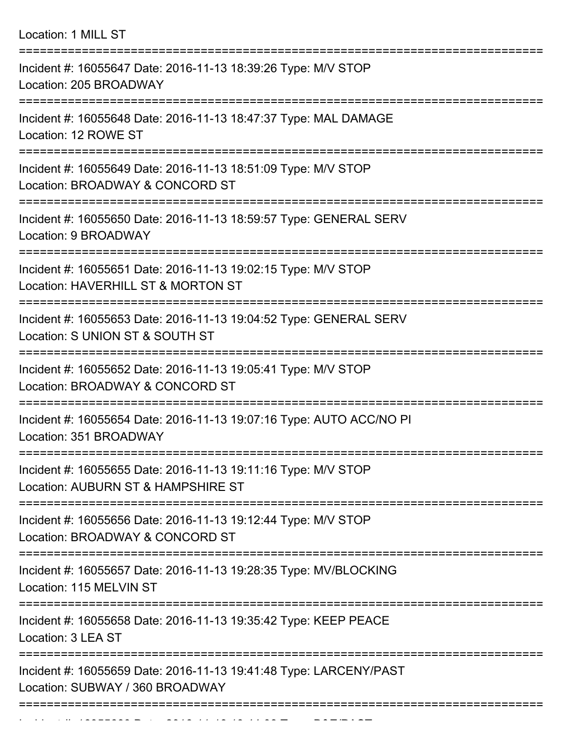Location: 1 MILL ST =========================================================================== Incident #: 16055647 Date: 2016-11-13 18:39:26 Type: M/V STOP Location: 205 BROADWAY =========================================================================== Incident #: 16055648 Date: 2016-11-13 18:47:37 Type: MAL DAMAGE Location: 12 ROWE ST =========================================================================== Incident #: 16055649 Date: 2016-11-13 18:51:09 Type: M/V STOP Location: BROADWAY & CONCORD ST =========================================================================== Incident #: 16055650 Date: 2016-11-13 18:59:57 Type: GENERAL SERV Location: 9 BROADWAY =========================================================================== Incident #: 16055651 Date: 2016-11-13 19:02:15 Type: M/V STOP Location: HAVERHILL ST & MORTON ST =========================================================================== Incident #: 16055653 Date: 2016-11-13 19:04:52 Type: GENERAL SERV Location: S UNION ST & SOUTH ST =========================================================================== Incident #: 16055652 Date: 2016-11-13 19:05:41 Type: M/V STOP Location: BROADWAY & CONCORD ST =========================================================================== Incident #: 16055654 Date: 2016-11-13 19:07:16 Type: AUTO ACC/NO PI Location: 351 BROADWAY =========================================================================== Incident #: 16055655 Date: 2016-11-13 19:11:16 Type: M/V STOP Location: AUBURN ST & HAMPSHIRE ST =========================================================================== Incident #: 16055656 Date: 2016-11-13 19:12:44 Type: M/V STOP Location: BROADWAY & CONCORD ST =========================================================================== Incident #: 16055657 Date: 2016-11-13 19:28:35 Type: MV/BLOCKING Location: 115 MELVIN ST =========================================================================== Incident #: 16055658 Date: 2016-11-13 19:35:42 Type: KEEP PEACE Location: 3 LEA ST =========================================================================== Incident #: 16055659 Date: 2016-11-13 19:41:48 Type: LARCENY/PAST Location: SUBWAY / 360 BROADWAY ===========================================================================

Incident #: 16055660 Date: 2016 11 13 19:44:08 Type: B&E/PAST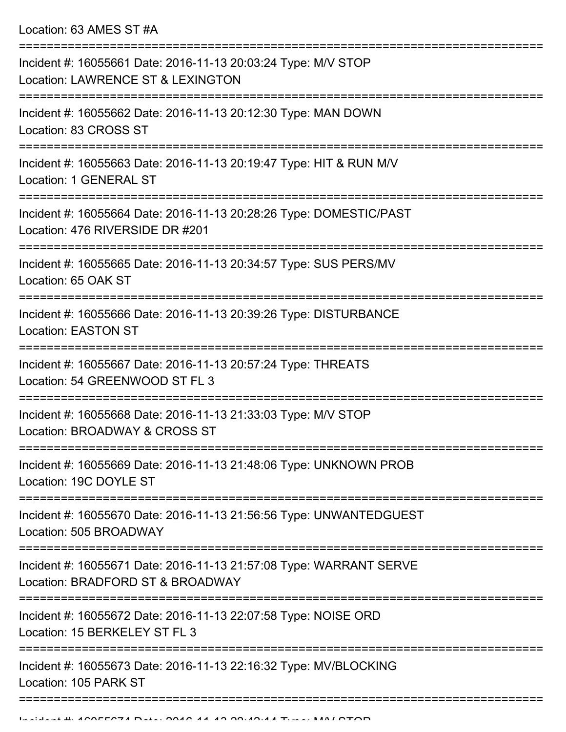Location: 63 AMES ST #A

| Incident #: 16055661 Date: 2016-11-13 20:03:24 Type: M/V STOP<br>Location: LAWRENCE ST & LEXINGTON     |
|--------------------------------------------------------------------------------------------------------|
| Incident #: 16055662 Date: 2016-11-13 20:12:30 Type: MAN DOWN<br>Location: 83 CROSS ST                 |
| Incident #: 16055663 Date: 2016-11-13 20:19:47 Type: HIT & RUN M/V<br>Location: 1 GENERAL ST           |
| Incident #: 16055664 Date: 2016-11-13 20:28:26 Type: DOMESTIC/PAST<br>Location: 476 RIVERSIDE DR #201  |
| Incident #: 16055665 Date: 2016-11-13 20:34:57 Type: SUS PERS/MV<br>Location: 65 OAK ST                |
| Incident #: 16055666 Date: 2016-11-13 20:39:26 Type: DISTURBANCE<br><b>Location: EASTON ST</b>         |
| Incident #: 16055667 Date: 2016-11-13 20:57:24 Type: THREATS<br>Location: 54 GREENWOOD ST FL 3         |
| Incident #: 16055668 Date: 2016-11-13 21:33:03 Type: M/V STOP<br>Location: BROADWAY & CROSS ST         |
| Incident #: 16055669 Date: 2016-11-13 21:48:06 Type: UNKNOWN PROB<br>Location: 19C DOYLE ST            |
| Incident #: 16055670 Date: 2016-11-13 21:56:56 Type: UNWANTEDGUEST<br>Location: 505 BROADWAY           |
| Incident #: 16055671 Date: 2016-11-13 21:57:08 Type: WARRANT SERVE<br>Location: BRADFORD ST & BROADWAY |
| Incident #: 16055672 Date: 2016-11-13 22:07:58 Type: NOISE ORD<br>Location: 15 BERKELEY ST FL 3        |
| Incident #: 16055673 Date: 2016-11-13 22:16:32 Type: MV/BLOCKING<br>Location: 105 PARK ST              |
|                                                                                                        |